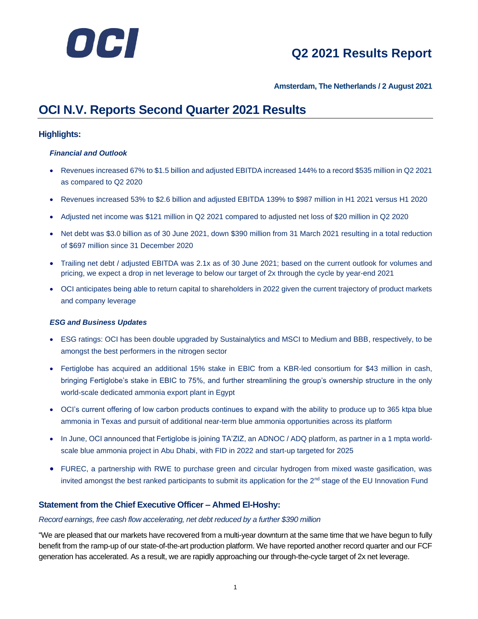

**Amsterdam, The Netherlands / 2 August 2021**

## **OCI N.V. Reports Second Quarter 2021 Results**

#### **Highlights:**

#### *Financial and Outlook*

- Revenues increased 67% to \$1.5 billion and adjusted EBITDA increased 144% to a record \$535 million in Q2 2021 as compared to Q2 2020
- Revenues increased 53% to \$2.6 billion and adjusted EBITDA 139% to \$987 million in H1 2021 versus H1 2020
- Adjusted net income was \$121 million in Q2 2021 compared to adjusted net loss of \$20 million in Q2 2020
- Net debt was \$3.0 billion as of 30 June 2021, down \$390 million from 31 March 2021 resulting in a total reduction of \$697 million since 31 December 2020
- Trailing net debt / adjusted EBITDA was 2.1x as of 30 June 2021; based on the current outlook for volumes and pricing, we expect a drop in net leverage to below our target of 2x through the cycle by year-end 2021
- OCI anticipates being able to return capital to shareholders in 2022 given the current trajectory of product markets and company leverage

#### *ESG and Business Updates*

- ESG ratings: OCI has been double upgraded by Sustainalytics and MSCI to Medium and BBB, respectively, to be amongst the best performers in the nitrogen sector
- Fertiglobe has acquired an additional 15% stake in EBIC from a KBR-led consortium for \$43 million in cash, bringing Fertiglobe's stake in EBIC to 75%, and further streamlining the group's ownership structure in the only world-scale dedicated ammonia export plant in Egypt
- OCI's current offering of low carbon products continues to expand with the ability to produce up to 365 ktpa blue ammonia in Texas and pursuit of additional near-term blue ammonia opportunities across its platform
- In June, OCI announced that Fertiglobe is joining TA'ZIZ, an ADNOC / ADQ platform, as partner in a 1 mpta worldscale blue ammonia project in Abu Dhabi, with FID in 2022 and start-up targeted for 2025
- FUREC, a partnership with RWE to purchase green and circular hydrogen from mixed waste gasification, was invited amongst the best ranked participants to submit its application for the  $2^{nd}$  stage of the EU Innovation Fund

#### **Statement from the Chief Executive Officer – Ahmed El-Hoshy:**

#### *Record earnings, free cash flow accelerating, net debt reduced by a further \$390 million*

"We are pleased that our markets have recovered from a multi-year downturn at the same time that we have begun to fully benefit from the ramp-up of our state-of-the-art production platform. We have reported another record quarter and our FCF generation has accelerated. As a result, we are rapidly approaching our through-the-cycle target of 2x net leverage.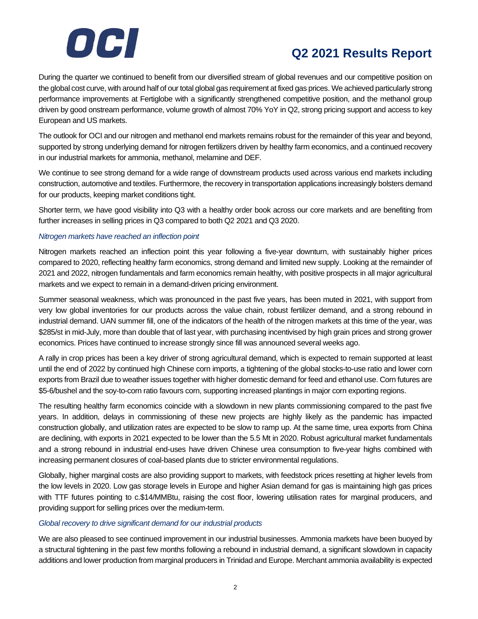

During the quarter we continued to benefit from our diversified stream of global revenues and our competitive position on the global cost curve, with around half of our total global gas requirement at fixed gas prices. We achieved particularly strong performance improvements at Fertiglobe with a significantly strengthened competitive position, and the methanol group driven by good onstream performance, volume growth of almost 70% YoY in Q2, strong pricing support and access to key European and US markets.

The outlook for OCI and our nitrogen and methanol end markets remains robust for the remainder of this year and beyond, supported by strong underlying demand for nitrogen fertilizers driven by healthy farm economics, and a continued recovery in our industrial markets for ammonia, methanol, melamine and DEF.

We continue to see strong demand for a wide range of downstream products used across various end markets including construction, automotive and textiles. Furthermore, the recovery in transportation applications increasingly bolsters demand for our products, keeping market conditions tight.

Shorter term, we have good visibility into Q3 with a healthy order book across our core markets and are benefiting from further increases in selling prices in Q3 compared to both Q2 2021 and Q3 2020.

#### *Nitrogen markets have reached an inflection point*

Nitrogen markets reached an inflection point this year following a five-year downturn, with sustainably higher prices compared to 2020, reflecting healthy farm economics, strong demand and limited new supply. Looking at the remainder of 2021 and 2022, nitrogen fundamentals and farm economics remain healthy, with positive prospects in all major agricultural markets and we expect to remain in a demand-driven pricing environment.

Summer seasonal weakness, which was pronounced in the past five years, has been muted in 2021, with support from very low global inventories for our products across the value chain, robust fertilizer demand, and a strong rebound in industrial demand. UAN summer fill, one of the indicators of the health of the nitrogen markets at this time of the year, was \$285/st in mid-July, more than double that of last year, with purchasing incentivised by high grain prices and strong grower economics. Prices have continued to increase strongly since fill was announced several weeks ago.

A rally in crop prices has been a key driver of strong agricultural demand, which is expected to remain supported at least until the end of 2022 by continued high Chinese corn imports, a tightening of the global stocks-to-use ratio and lower corn exports from Brazil due to weather issues together with higher domestic demand for feed and ethanol use. Corn futures are \$5-6/bushel and the soy-to-corn ratio favours corn, supporting increased plantings in major corn exporting regions.

The resulting healthy farm economics coincide with a slowdown in new plants commissioning compared to the past five years. In addition, delays in commissioning of these new projects are highly likely as the pandemic has impacted construction globally, and utilization rates are expected to be slow to ramp up. At the same time, urea exports from China are declining, with exports in 2021 expected to be lower than the 5.5 Mt in 2020. Robust agricultural market fundamentals and a strong rebound in industrial end-uses have driven Chinese urea consumption to five-year highs combined with increasing permanent closures of coal-based plants due to stricter environmental regulations.

Globally, higher marginal costs are also providing support to markets, with feedstock prices resetting at higher levels from the low levels in 2020. Low gas storage levels in Europe and higher Asian demand for gas is maintaining high gas prices with TTF futures pointing to c.\$14/MMBtu, raising the cost floor, lowering utilisation rates for marginal producers, and providing support for selling prices over the medium-term.

#### *Global recovery to drive significant demand for our industrial products*

We are also pleased to see continued improvement in our industrial businesses. Ammonia markets have been buoyed by a structural tightening in the past few months following a rebound in industrial demand, a significant slowdown in capacity additions and lower production from marginal producers in Trinidad and Europe. Merchant ammonia availability is expected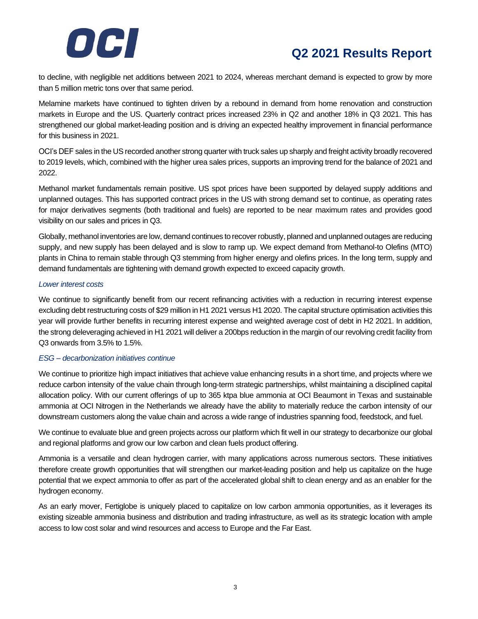

to decline, with negligible net additions between 2021 to 2024, whereas merchant demand is expected to grow by more than 5 million metric tons over that same period.

Melamine markets have continued to tighten driven by a rebound in demand from home renovation and construction markets in Europe and the US. Quarterly contract prices increased 23% in Q2 and another 18% in Q3 2021. This has strengthened our global market-leading position and is driving an expected healthy improvement in financial performance for this business in 2021.

OCI's DEF sales in the US recorded another strong quarter with truck sales up sharply and freight activity broadly recovered to 2019 levels, which, combined with the higher urea sales prices, supports an improving trend for the balance of 2021 and 2022.

Methanol market fundamentals remain positive. US spot prices have been supported by delayed supply additions and unplanned outages. This has supported contract prices in the US with strong demand set to continue, as operating rates for major derivatives segments (both traditional and fuels) are reported to be near maximum rates and provides good visibility on our sales and prices in Q3.

Globally, methanol inventories are low, demand continues to recover robustly, planned and unplanned outages are reducing supply, and new supply has been delayed and is slow to ramp up. We expect demand from Methanol-to Olefins (MTO) plants in China to remain stable through Q3 stemming from higher energy and olefins prices. In the long term, supply and demand fundamentals are tightening with demand growth expected to exceed capacity growth.

#### *Lower interest costs*

We continue to significantly benefit from our recent refinancing activities with a reduction in recurring interest expense excluding debt restructuring costs of \$29 million in H1 2021 versus H1 2020. The capital structure optimisation activities this year will provide further benefits in recurring interest expense and weighted average cost of debt in H2 2021. In addition, the strong deleveraging achieved in H1 2021 will deliver a 200bps reduction in the margin of our revolving credit facility from Q3 onwards from 3.5% to 1.5%.

#### *ESG – decarbonization initiatives continue*

We continue to prioritize high impact initiatives that achieve value enhancing results in a short time, and projects where we reduce carbon intensity of the value chain through long-term strategic partnerships, whilst maintaining a disciplined capital allocation policy. With our current offerings of up to 365 ktpa blue ammonia at OCI Beaumont in Texas and sustainable ammonia at OCI Nitrogen in the Netherlands we already have the ability to materially reduce the carbon intensity of our downstream customers along the value chain and across a wide range of industries spanning food, feedstock, and fuel.

We continue to evaluate blue and green projects across our platform which fit well in our strategy to decarbonize our global and regional platforms and grow our low carbon and clean fuels product offering.

Ammonia is a versatile and clean hydrogen carrier, with many applications across numerous sectors. These initiatives therefore create growth opportunities that will strengthen our market-leading position and help us capitalize on the huge potential that we expect ammonia to offer as part of the accelerated global shift to clean energy and as an enabler for the hydrogen economy.

As an early mover, Fertiglobe is uniquely placed to capitalize on low carbon ammonia opportunities, as it leverages its existing sizeable ammonia business and distribution and trading infrastructure, as well as its strategic location with ample access to low cost solar and wind resources and access to Europe and the Far East.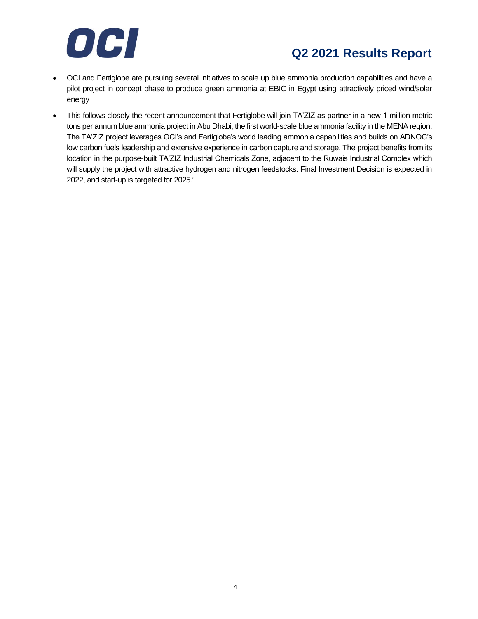

- OCI and Fertiglobe are pursuing several initiatives to scale up blue ammonia production capabilities and have a pilot project in concept phase to produce green ammonia at EBIC in Egypt using attractively priced wind/solar energy
- This follows closely the recent announcement that Fertiglobe will join TA'ZIZ as partner in a new 1 million metric tons per annum blue ammonia project in Abu Dhabi, the first world-scale blue ammonia facility in the MENA region. The TA'ZIZ project leverages OCI's and Fertiglobe's world leading ammonia capabilities and builds on ADNOC's low carbon fuels leadership and extensive experience in carbon capture and storage. The project benefits from its location in the purpose-built TA'ZIZ Industrial Chemicals Zone, adjacent to the Ruwais Industrial Complex which will supply the project with attractive hydrogen and nitrogen feedstocks. Final Investment Decision is expected in 2022, and start-up is targeted for 2025."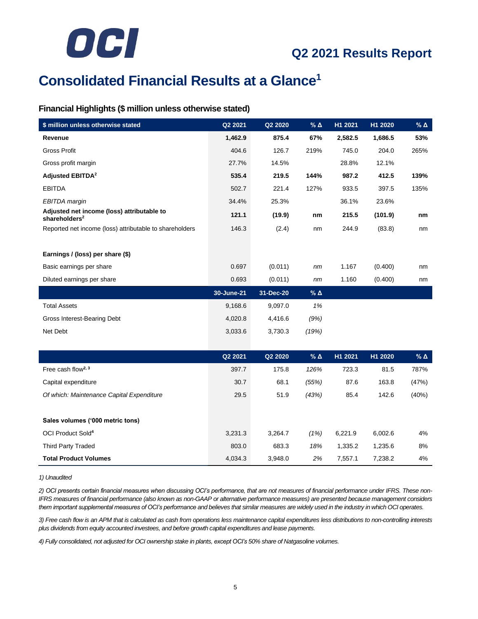

## **Consolidated Financial Results at a Glance<sup>1</sup>**

#### **Financial Highlights (\$ million unless otherwise stated)**

| \$ million unless otherwise stated                             | Q2 2021    | Q2 2020   | $%$ $\triangle$ | H1 2021 | H1 2020 | $%$ $\triangle$ |
|----------------------------------------------------------------|------------|-----------|-----------------|---------|---------|-----------------|
| Revenue                                                        | 1,462.9    | 875.4     | 67%             | 2,582.5 | 1,686.5 | 53%             |
| <b>Gross Profit</b>                                            | 404.6      | 126.7     | 219%            | 745.0   | 204.0   | 265%            |
| Gross profit margin                                            | 27.7%      | 14.5%     |                 | 28.8%   | 12.1%   |                 |
| <b>Adjusted EBITDA<sup>2</sup></b>                             | 535.4      | 219.5     | 144%            | 987.2   | 412.5   | 139%            |
| <b>EBITDA</b>                                                  | 502.7      | 221.4     | 127%            | 933.5   | 397.5   | 135%            |
| <b>EBITDA</b> margin                                           | 34.4%      | 25.3%     |                 | 36.1%   | 23.6%   |                 |
| Adjusted net income (loss) attributable to<br>shareholders $2$ | 121.1      | (19.9)    | nm              | 215.5   | (101.9) | nm              |
| Reported net income (loss) attributable to shareholders        | 146.3      | (2.4)     | nm              | 244.9   | (83.8)  | nm              |
|                                                                |            |           |                 |         |         |                 |
| Earnings / (loss) per share (\$)                               |            |           |                 |         |         |                 |
| Basic earnings per share                                       | 0.697      | (0.011)   | nm              | 1.167   | (0.400) | nm              |
| Diluted earnings per share                                     | 0.693      | (0.011)   | nm              | 1.160   | (0.400) | nm              |
|                                                                |            |           |                 |         |         |                 |
|                                                                | 30-June-21 | 31-Dec-20 | $%$ $\triangle$ |         |         |                 |
| <b>Total Assets</b>                                            | 9,168.6    | 9,097.0   | 1%              |         |         |                 |
| Gross Interest-Bearing Debt                                    | 4,020.8    | 4,416.6   | (9%)            |         |         |                 |
| Net Debt                                                       | 3,033.6    | 3,730.3   | (19%)           |         |         |                 |
|                                                                |            |           |                 |         |         |                 |
|                                                                | Q2 2021    | Q2 2020   | $%$ $\triangle$ | H1 2021 | H1 2020 | $%$ $\triangle$ |
| Free cash flow <sup>2, 3</sup>                                 | 397.7      | 175.8     | 126%            | 723.3   | 81.5    | 787%            |
| Capital expenditure                                            | 30.7       | 68.1      | (55%)           | 87.6    | 163.8   | (47%)           |
| Of which: Maintenance Capital Expenditure                      | 29.5       | 51.9      | (43%)           | 85.4    | 142.6   | (40%)           |
|                                                                |            |           |                 |         |         |                 |
| Sales volumes ('000 metric tons)                               |            |           |                 |         |         |                 |
| OCI Product Sold <sup>4</sup>                                  | 3,231.3    | 3,264.7   | (1%)            | 6,221.9 | 6,002.6 | 4%              |

*1) Unaudited*

*2) OCI presents certain financial measures when discussing OCI's performance, that are not measures of financial performance under IFRS. These non-IFRS measures of financial performance (also known as non-GAAP or alternative performance measures) are presented because management considers them important supplemental measures of OCI's performance and believes that similar measures are widely used in the industry in which OCI operates.*

**Total Product Volumes** 4,034.3 3,948.0 *2%* 7,557.1 7,238.2 4%

*3) Free cash flow is an APM that is calculated as cash from operations less maintenance capital expenditures less distributions to non-controlling interests plus dividends from equity accounted investees, and before growth capital expenditures and lease payments.*

*4) Fully consolidated, not adjusted for OCI ownership stake in plants, except OCI's 50% share of Natgasoline volumes.*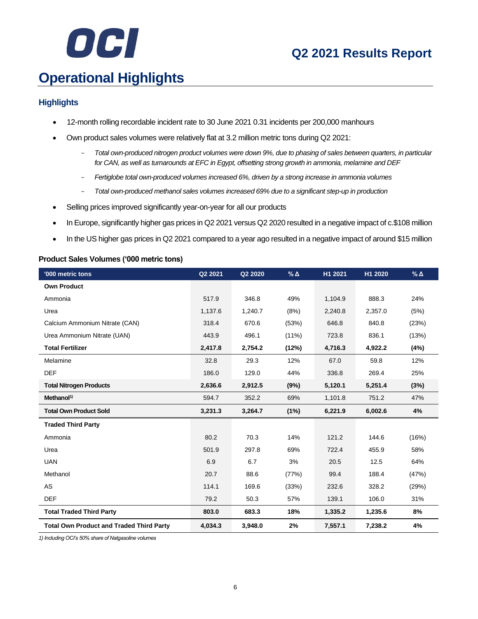

## **Operational Highlights**

#### **Highlights**

- 12-month rolling recordable incident rate to 30 June 2021 0.31 incidents per 200,000 manhours
- Own product sales volumes were relatively flat at 3.2 million metric tons during Q2 2021:
	- *Total own-produced nitrogen product volumes were down 9%, due to phasing of sales between quarters, in particular for CAN, as well as turnarounds at EFC in Egypt, offsetting strong growth in ammonia, melamine and DEF*
	- *Fertiglobe total own-produced volumes increased 6%, driven by a strong increase in ammonia volumes*
	- *Total own-produced methanol sales volumes increased 69% due to a significant step-up in production*
- Selling prices improved significantly year-on-year for all our products
- In Europe, significantly higher gas prices in Q2 2021 versus Q2 2020 resulted in a negative impact of c.\$108 million
- In the US higher gas prices in Q2 2021 compared to a year ago resulted in a negative impact of around \$15 million

#### **Product Sales Volumes ('000 metric tons)**

| '000 metric tons                                | Q2 2021 | Q2 2020 | $%$ $\triangle$ | H1 2021 | H1 2020 | $%$ $\triangle$ |
|-------------------------------------------------|---------|---------|-----------------|---------|---------|-----------------|
| <b>Own Product</b>                              |         |         |                 |         |         |                 |
| Ammonia                                         | 517.9   | 346.8   | 49%             | 1,104.9 | 888.3   | 24%             |
| Urea                                            | 1,137.6 | 1,240.7 | (8%)            | 2,240.8 | 2,357.0 | (5%)            |
| Calcium Ammonium Nitrate (CAN)                  | 318.4   | 670.6   | (53%)           | 646.8   | 840.8   | (23%)           |
| Urea Ammonium Nitrate (UAN)                     | 443.9   | 496.1   | $(11\%)$        | 723.8   | 836.1   | (13%)           |
| <b>Total Fertilizer</b>                         | 2,417.8 | 2,754.2 | (12%)           | 4,716.3 | 4,922.2 | (4%)            |
| Melamine                                        | 32.8    | 29.3    | 12%             | 67.0    | 59.8    | 12%             |
| <b>DEF</b>                                      | 186.0   | 129.0   | 44%             | 336.8   | 269.4   | 25%             |
| <b>Total Nitrogen Products</b>                  | 2,636.6 | 2,912.5 | (9%)            | 5,120.1 | 5,251.4 | (3%)            |
| Method <sup>1</sup>                             | 594.7   | 352.2   | 69%             | 1,101.8 | 751.2   | 47%             |
| <b>Total Own Product Sold</b>                   | 3,231.3 | 3,264.7 | (1%)            | 6,221.9 | 6,002.6 | 4%              |
| <b>Traded Third Party</b>                       |         |         |                 |         |         |                 |
| Ammonia                                         | 80.2    | 70.3    | 14%             | 121.2   | 144.6   | (16%)           |
| Urea                                            | 501.9   | 297.8   | 69%             | 722.4   | 455.9   | 58%             |
| <b>UAN</b>                                      | 6.9     | 6.7     | 3%              | 20.5    | 12.5    | 64%             |
| Methanol                                        | 20.7    | 88.6    | (77%)           | 99.4    | 188.4   | (47%)           |
| AS                                              | 114.1   | 169.6   | (33%)           | 232.6   | 328.2   | (29%)           |
| <b>DEF</b>                                      | 79.2    | 50.3    | 57%             | 139.1   | 106.0   | 31%             |
| <b>Total Traded Third Party</b>                 | 803.0   | 683.3   | 18%             | 1,335.2 | 1,235.6 | 8%              |
| <b>Total Own Product and Traded Third Party</b> | 4,034.3 | 3,948.0 | 2%              | 7,557.1 | 7,238.2 | 4%              |

*1) Including OCI's 50% share of Natgasoline volumes*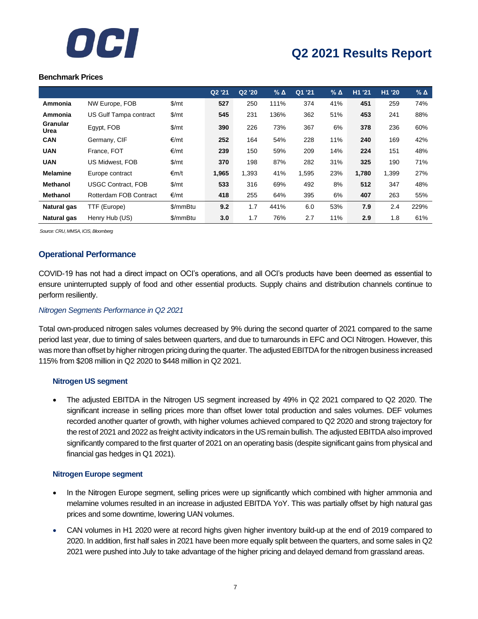

#### **Benchmark Prices**

|                  |                           |          | Q <sub>2</sub> '21 | Q2 '20 | $%$ $\triangle$ | Q1 '21 | $%$ $\triangle$ | H1 '21 | H <sub>1</sub> '20 | $%$ $\triangle$ |
|------------------|---------------------------|----------|--------------------|--------|-----------------|--------|-----------------|--------|--------------------|-----------------|
| Ammonia          | NW Europe, FOB            | \$/mt    | 527                | 250    | 111%            | 374    | 41%             | 451    | 259                | 74%             |
| Ammonia          | US Gulf Tampa contract    | \$/mt    | 545                | 231    | 136%            | 362    | 51%             | 453    | 241                | 88%             |
| Granular<br>Urea | Egypt, FOB                | \$/mt    | 390                | 226    | 73%             | 367    | 6%              | 378    | 236                | 60%             |
| <b>CAN</b>       | Germany, CIF              | €/mt     | 252                | 164    | 54%             | 228    | 11%             | 240    | 169                | 42%             |
| <b>UAN</b>       | France, FOT               | €/mt     | 239                | 150    | 59%             | 209    | 14%             | 224    | 151                | 48%             |
| <b>UAN</b>       | US Midwest, FOB           | \$/mt    | 370                | 198    | 87%             | 282    | 31%             | 325    | 190                | 71%             |
| <b>Melamine</b>  | Europe contract           | €m/t     | 1,965              | 1,393  | 41%             | 1,595  | 23%             | 1,780  | 1,399              | 27%             |
| <b>Methanol</b>  | <b>USGC Contract, FOB</b> | \$/mt    | 533                | 316    | 69%             | 492    | 8%              | 512    | 347                | 48%             |
| <b>Methanol</b>  | Rotterdam FOB Contract    | €/mt     | 418                | 255    | 64%             | 395    | 6%              | 407    | 263                | 55%             |
| Natural gas      | TTF (Europe)              | \$/mmBtu | 9.2                | 1.7    | 441%            | 6.0    | 53%             | 7.9    | 2.4                | 229%            |
| Natural gas      | Henry Hub (US)            | \$/mmBtu | 3.0                | 1.7    | 76%             | 2.7    | 11%             | 2.9    | 1.8                | 61%             |

*Source: CRU, MMSA, ICIS, Bloomberg*

#### **Operational Performance**

COVID-19 has not had a direct impact on OCI's operations, and all OCI's products have been deemed as essential to ensure uninterrupted supply of food and other essential products. Supply chains and distribution channels continue to perform resiliently.

#### *Nitrogen Segments Performance in Q2 2021*

Total own-produced nitrogen sales volumes decreased by 9% during the second quarter of 2021 compared to the same period last year, due to timing of sales between quarters, and due to turnarounds in EFC and OCI Nitrogen. However, this was more than offset by higher nitrogen pricing during the quarter. The adjusted EBITDA for the nitrogen business increased 115% from \$208 million in Q2 2020 to \$448 million in Q2 2021.

#### **Nitrogen US segment**

• The adjusted EBITDA in the Nitrogen US segment increased by 49% in Q2 2021 compared to Q2 2020. The significant increase in selling prices more than offset lower total production and sales volumes. DEF volumes recorded another quarter of growth, with higher volumes achieved compared to Q2 2020 and strong trajectory for the rest of 2021 and 2022 as freight activity indicators in the US remain bullish. The adjusted EBITDA also improved significantly compared to the first quarter of 2021 on an operating basis (despite significant gains from physical and financial gas hedges in Q1 2021).

#### **Nitrogen Europe segment**

- In the Nitrogen Europe segment, selling prices were up significantly which combined with higher ammonia and melamine volumes resulted in an increase in adjusted EBITDA YoY. This was partially offset by high natural gas prices and some downtime, lowering UAN volumes.
- CAN volumes in H1 2020 were at record highs given higher inventory build-up at the end of 2019 compared to 2020. In addition, first half sales in 2021 have been more equally split between the quarters, and some sales in Q2 2021 were pushed into July to take advantage of the higher pricing and delayed demand from grassland areas.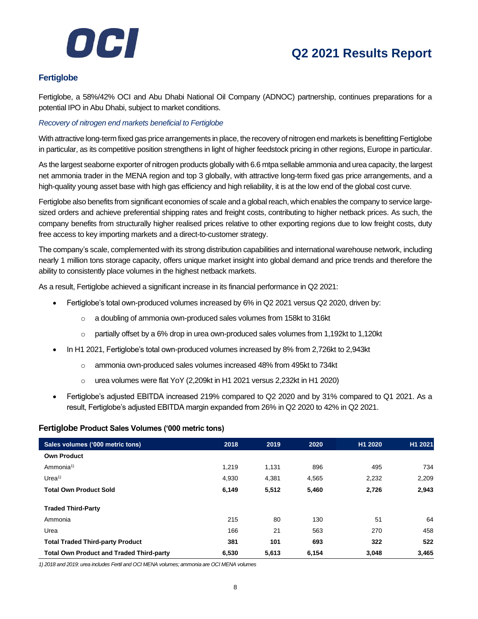

#### **Fertiglobe**

Fertiglobe, a 58%/42% OCI and Abu Dhabi National Oil Company (ADNOC) partnership, continues preparations for a potential IPO in Abu Dhabi, subject to market conditions.

#### *Recovery of nitrogen end markets beneficial to Fertiglobe*

With attractive long-term fixed gas price arrangements in place, the recovery of nitrogen end markets is benefitting Fertiglobe in particular, as its competitive position strengthens in light of higher feedstock pricing in other regions, Europe in particular.

As the largest seaborne exporter of nitrogen products globally with 6.6 mtpa sellable ammonia and urea capacity, the largest net ammonia trader in the MENA region and top 3 globally, with attractive long-term fixed gas price arrangements, and a high-quality young asset base with high gas efficiency and high reliability, it is at the low end of the global cost curve.

Fertiglobe also benefits from significant economies of scale and a global reach, which enables the company to service largesized orders and achieve preferential shipping rates and freight costs, contributing to higher netback prices. As such, the company benefits from structurally higher realised prices relative to other exporting regions due to low freight costs, duty free access to key importing markets and a direct-to-customer strategy.

The company's scale, complemented with its strong distribution capabilities and international warehouse network, including nearly 1 million tons storage capacity, offers unique market insight into global demand and price trends and therefore the ability to consistently place volumes in the highest netback markets.

As a result, Fertiglobe achieved a significant increase in its financial performance in Q2 2021:

- Fertiglobe's total own-produced volumes increased by 6% in Q2 2021 versus Q2 2020, driven by:
	- o a doubling of ammonia own-produced sales volumes from 158kt to 316kt
	- $\circ$  partially offset by a 6% drop in urea own-produced sales volumes from 1,192kt to 1,120kt
- In H1 2021, Fertiglobe's total own-produced volumes increased by 8% from 2,726kt to 2,943kt
	- o ammonia own-produced sales volumes increased 48% from 495kt to 734kt
	- o urea volumes were flat YoY (2,209kt in H1 2021 versus 2,232kt in H1 2020)
- Fertiglobe's adjusted EBITDA increased 219% compared to Q2 2020 and by 31% compared to Q1 2021. As a result, Fertiglobe's adjusted EBITDA margin expanded from 26% in Q2 2020 to 42% in Q2 2021.

#### **Fertiglobe Product Sales Volumes ('000 metric tons)**

| Sales volumes ('000 metric tons)                | 2018  | 2019  | 2020  | H1 2020 | H <sub>1</sub> 2021 |
|-------------------------------------------------|-------|-------|-------|---------|---------------------|
| <b>Own Product</b>                              |       |       |       |         |                     |
| Ammonia <sup>1)</sup>                           | 1,219 | 1,131 | 896   | 495     | 734                 |
| Urea <sup>1</sup>                               | 4,930 | 4,381 | 4,565 | 2,232   | 2,209               |
| <b>Total Own Product Sold</b>                   | 6,149 | 5,512 | 5,460 | 2,726   | 2,943               |
| <b>Traded Third-Party</b>                       |       |       |       |         |                     |
| Ammonia                                         | 215   | 80    | 130   | 51      | 64                  |
| Urea                                            | 166   | 21    | 563   | 270     | 458                 |
| <b>Total Traded Third-party Product</b>         | 381   | 101   | 693   | 322     | 522                 |
| <b>Total Own Product and Traded Third-party</b> | 6,530 | 5,613 | 6,154 | 3,048   | 3,465               |

*1) 2018 and 2019: urea includes Fertil and OCI MENA volumes; ammonia are OCI MENA volumes*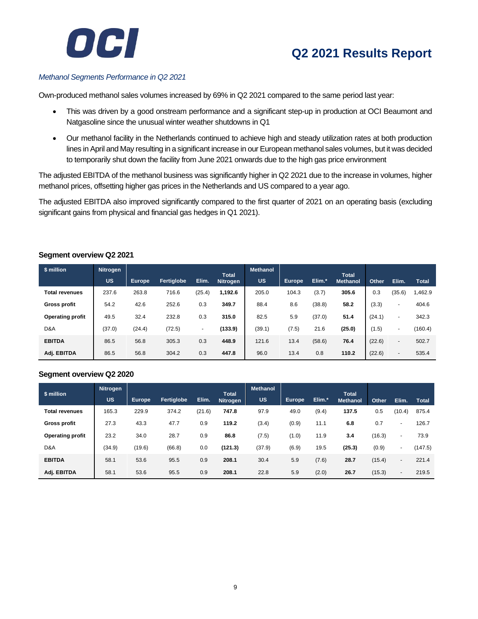

#### *Methanol Segments Performance in Q2 2021*

Own-produced methanol sales volumes increased by 69% in Q2 2021 compared to the same period last year:

- This was driven by a good onstream performance and a significant step-up in production at OCI Beaumont and Natgasoline since the unusual winter weather shutdowns in Q1
- Our methanol facility in the Netherlands continued to achieve high and steady utilization rates at both production lines in April and May resulting in a significant increase in our European methanol sales volumes, but it was decided to temporarily shut down the facility from June 2021 onwards due to the high gas price environment

The adjusted EBITDA of the methanol business was significantly higher in Q2 2021 due to the increase in volumes, higher methanol prices, offsetting higher gas prices in the Netherlands and US compared to a year ago.

The adjusted EBITDA also improved significantly compared to the first quarter of 2021 on an operating basis (excluding significant gains from physical and financial gas hedges in Q1 2021).

#### **Segment overview Q2 2021**

| \$ million              | <b>Nitrogen</b> |        |            |        | <b>Total</b>    | <b>Methanol</b> |               |        | <b>Total</b>    |        |                          |              |
|-------------------------|-----------------|--------|------------|--------|-----------------|-----------------|---------------|--------|-----------------|--------|--------------------------|--------------|
|                         | US.             | Europe | Fertiglobe | Elim.  | <b>Nitrogen</b> | <b>US</b>       | <b>Europe</b> | Elim.* | <b>Methanol</b> | Other  | Elim.                    | <b>Total</b> |
| <b>Total revenues</b>   | 237.6           | 263.8  | 716.6      | (25.4) | 1,192.6         | 205.0           | 104.3         | (3.7)  | 305.6           | 0.3    | (35.6)                   | 1,462.9      |
| <b>Gross profit</b>     | 54.2            | 42.6   | 252.6      | 0.3    | 349.7           | 88.4            | 8.6           | (38.8) | 58.2            | (3.3)  | $\overline{\phantom{0}}$ | 404.6        |
| <b>Operating profit</b> | 49.5            | 32.4   | 232.8      | 0.3    | 315.0           | 82.5            | 5.9           | (37.0) | 51.4            | (24.1) | $\overline{\phantom{a}}$ | 342.3        |
| D&A                     | (37.0)          | (24.4) | (72.5)     |        | (133.9)         | (39.1)          | (7.5)         | 21.6   | (25.0)          | (1.5)  | $\sim$                   | (160.4)      |
| <b>EBITDA</b>           | 86.5            | 56.8   | 305.3      | 0.3    | 448.9           | 121.6           | 13.4          | (58.6) | 76.4            | (22.6) | $\sim$                   | 502.7        |
| Adj. EBITDA             | 86.5            | 56.8   | 304.2      | 0.3    | 447.8           | 96.0            | 13.4          | 0.8    | 110.2           | (22.6) | $\overline{\phantom{a}}$ | 535.4        |

#### **Segment overview Q2 2020**

|                         | Nitrogen  |        |            |        |                                 | <b>Methanol</b> |        |        |                                 |        |                          |              |
|-------------------------|-----------|--------|------------|--------|---------------------------------|-----------------|--------|--------|---------------------------------|--------|--------------------------|--------------|
| \$ million              | <b>US</b> | Europe | Fertiglobe | Elim.  | <b>Total</b><br><b>Nitrogen</b> | <b>US</b>       | Europe | Elim.* | <b>Total</b><br><b>Methanol</b> | Other  | Elim.                    | <b>Total</b> |
| <b>Total revenues</b>   | 165.3     | 229.9  | 374.2      | (21.6) | 747.8                           | 97.9            | 49.0   | (9.4)  | 137.5                           | 0.5    | (10.4)                   | 875.4        |
| <b>Gross profit</b>     | 27.3      | 43.3   | 47.7       | 0.9    | 119.2                           | (3.4)           | (0.9)  | 11.1   | 6.8                             | 0.7    | $\overline{\phantom{a}}$ | 126.7        |
| <b>Operating profit</b> | 23.2      | 34.0   | 28.7       | 0.9    | 86.8                            | (7.5)           | (1.0)  | 11.9   | 3.4                             | (16.3) | $\overline{\phantom{a}}$ | 73.9         |
| D&A                     | (34.9)    | (19.6) | (66.8)     | 0.0    | (121.3)                         | (37.9)          | (6.9)  | 19.5   | (25.3)                          | (0.9)  | ۰                        | (147.5)      |
| <b>EBITDA</b>           | 58.1      | 53.6   | 95.5       | 0.9    | 208.1                           | 30.4            | 5.9    | (7.6)  | 28.7                            | (15.4) | $\blacksquare$           | 221.4        |
| Adj. EBITDA             | 58.1      | 53.6   | 95.5       | 0.9    | 208.1                           | 22.8            | 5.9    | (2.0)  | 26.7                            | (15.3) | $\blacksquare$           | 219.5        |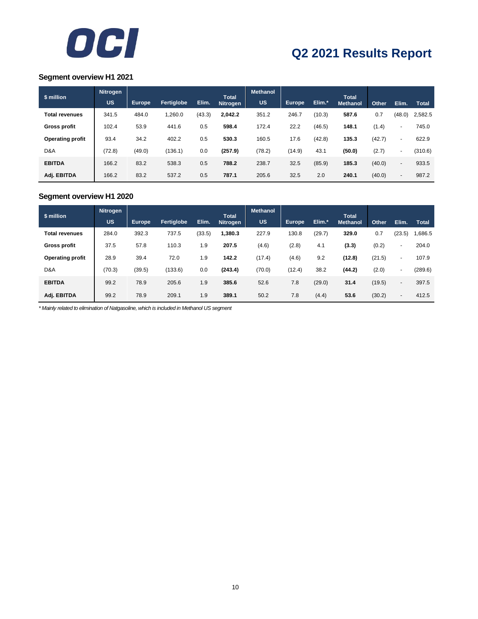

#### **Segment overview H1 2021**

|                         | <b>Nitrogen</b> |               |            |        |                                 | <b>Methanol</b> |        |        |                                 |        |                |              |
|-------------------------|-----------------|---------------|------------|--------|---------------------------------|-----------------|--------|--------|---------------------------------|--------|----------------|--------------|
| \$ million              | <b>US</b>       | <b>Europe</b> | Fertiglobe | Elim.  | <b>Total</b><br><b>Nitrogen</b> | <b>US</b>       | Europe | Elim.* | <b>Total</b><br><b>Methanol</b> | Other  | Elim.          | <b>Total</b> |
| <b>Total revenues</b>   | 341.5           | 484.0         | $0.065$ .  | (43.3) | 2.042.2                         | 351.2           | 246.7  | (10.3) | 587.6                           | 0.7    | (48.0)         | 2,582.5      |
| <b>Gross profit</b>     | 102.4           | 53.9          | 441.6      | 0.5    | 598.4                           | 172.4           | 22.2   | (46.5) | 148.1                           | (1.4)  | $\blacksquare$ | 745.0        |
| <b>Operating profit</b> | 93.4            | 34.2          | 402.2      | 0.5    | 530.3                           | 160.5           | 17.6   | (42.8) | 135.3                           | (42.7) | ٠              | 622.9        |
| D&A                     | (72.8)          | (49.0)        | (136.1)    | 0.0    | (257.9)                         | (78.2)          | (14.9) | 43.1   | (50.0)                          | (2.7)  | ۰              | (310.6)      |
| <b>EBITDA</b>           | 166.2           | 83.2          | 538.3      | 0.5    | 788.2                           | 238.7           | 32.5   | (85.9) | 185.3                           | (40.0) | ٠              | 933.5        |
| Adj. EBITDA             | 166.2           | 83.2          | 537.2      | 0.5    | 787.1                           | 205.6           | 32.5   | 2.0    | 240.1                           | (40.0) | $\blacksquare$ | 987.2        |

#### **Segment overview H1 2020**

| \$ million              | Nitrogen  |        |            |        | <b>Total</b>    | <b>Methanol</b> |        |        | <b>Total</b>    |        |                |              |
|-------------------------|-----------|--------|------------|--------|-----------------|-----------------|--------|--------|-----------------|--------|----------------|--------------|
|                         | <b>US</b> | Europe | Fertiglobe | Elim.  | <b>Nitrogen</b> | <b>US</b>       | Europe | Elim.* | <b>Methanol</b> | Other  | Elim.          | <b>Total</b> |
| <b>Total revenues</b>   | 284.0     | 392.3  | 737.5      | (33.5) | 1,380.3         | 227.9           | 130.8  | (29.7) | 329.0           | 0.7    | (23.5)         | 1,686.5      |
| Gross profit            | 37.5      | 57.8   | 110.3      | 1.9    | 207.5           | (4.6)           | (2.8)  | 4.1    | (3.3)           | (0.2)  | $\sim$         | 204.0        |
| <b>Operating profit</b> | 28.9      | 39.4   | 72.0       | 1.9    | 142.2           | (17.4)          | (4.6)  | 9.2    | (12.8)          | (21.5) | $\sim$         | 107.9        |
| D&A                     | (70.3)    | (39.5) | (133.6)    | 0.0    | (243.4)         | (70.0)          | (12.4) | 38.2   | (44.2)          | (2.0)  | $\sim$         | (289.6)      |
| <b>EBITDA</b>           | 99.2      | 78.9   | 205.6      | 1.9    | 385.6           | 52.6            | 7.8    | (29.0) | 31.4            | (19.5) | $\blacksquare$ | 397.5        |
| Adj. EBITDA             | 99.2      | 78.9   | 209.1      | 1.9    | 389.1           | 50.2            | 7.8    | (4.4)  | 53.6            | (30.2) | $\sim$         | 412.5        |

*\* Mainly related to elimination of Natgasoline, which is included in Methanol US segment*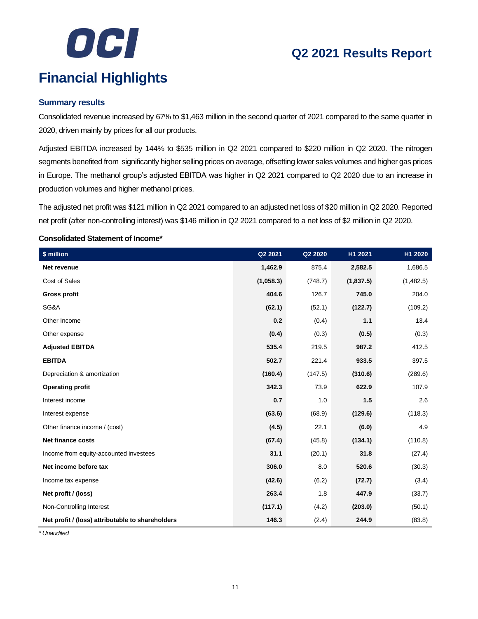# OCI **Financial Highlights**

## **Q2 2021 Results Report**

#### **Summary results**

Consolidated revenue increased by 67% to \$1,463 million in the second quarter of 2021 compared to the same quarter in 2020, driven mainly by prices for all our products.

Adjusted EBITDA increased by 144% to \$535 million in Q2 2021 compared to \$220 million in Q2 2020. The nitrogen segments benefited from significantly higher selling prices on average, offsetting lower sales volumes and higher gas prices in Europe. The methanol group's adjusted EBITDA was higher in Q2 2021 compared to Q2 2020 due to an increase in production volumes and higher methanol prices.

The adjusted net profit was \$121 million in Q2 2021 compared to an adjusted net loss of \$20 million in Q2 2020. Reported net profit (after non-controlling interest) was \$146 million in Q2 2021 compared to a net loss of \$2 million in Q2 2020.

#### **Consolidated Statement of Income\***

| \$ million                                       | Q2 2021   | Q2 2020 | H1 2021   | H1 2020   |
|--------------------------------------------------|-----------|---------|-----------|-----------|
| Net revenue                                      | 1,462.9   | 875.4   | 2,582.5   | 1,686.5   |
| Cost of Sales                                    | (1,058.3) | (748.7) | (1,837.5) | (1,482.5) |
| <b>Gross profit</b>                              | 404.6     | 126.7   | 745.0     | 204.0     |
| SG&A                                             | (62.1)    | (52.1)  | (122.7)   | (109.2)   |
| Other Income                                     | 0.2       | (0.4)   | 1.1       | 13.4      |
| Other expense                                    | (0.4)     | (0.3)   | (0.5)     | (0.3)     |
| <b>Adjusted EBITDA</b>                           | 535.4     | 219.5   | 987.2     | 412.5     |
| <b>EBITDA</b>                                    | 502.7     | 221.4   | 933.5     | 397.5     |
| Depreciation & amortization                      | (160.4)   | (147.5) | (310.6)   | (289.6)   |
| <b>Operating profit</b>                          | 342.3     | 73.9    | 622.9     | 107.9     |
| Interest income                                  | 0.7       | 1.0     | 1.5       | 2.6       |
| Interest expense                                 | (63.6)    | (68.9)  | (129.6)   | (118.3)   |
| Other finance income / (cost)                    | (4.5)     | 22.1    | (6.0)     | 4.9       |
| <b>Net finance costs</b>                         | (67.4)    | (45.8)  | (134.1)   | (110.8)   |
| Income from equity-accounted investees           | 31.1      | (20.1)  | 31.8      | (27.4)    |
| Net income before tax                            | 306.0     | 8.0     | 520.6     | (30.3)    |
| Income tax expense                               | (42.6)    | (6.2)   | (72.7)    | (3.4)     |
| Net profit / (loss)                              | 263.4     | 1.8     | 447.9     | (33.7)    |
| Non-Controlling Interest                         | (117.1)   | (4.2)   | (203.0)   | (50.1)    |
| Net profit / (loss) attributable to shareholders | 146.3     | (2.4)   | 244.9     | (83.8)    |

*\* Unaudited*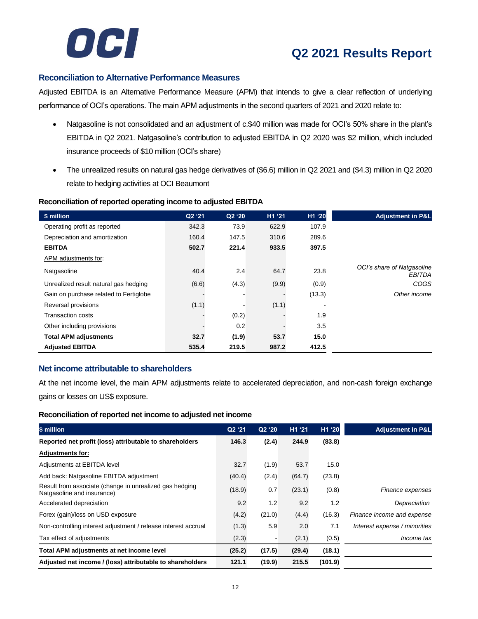

#### **Reconciliation to Alternative Performance Measures**

Adjusted EBITDA is an Alternative Performance Measure (APM) that intends to give a clear reflection of underlying performance of OCI's operations. The main APM adjustments in the second quarters of 2021 and 2020 relate to:

- Natgasoline is not consolidated and an adjustment of c.\$40 million was made for OCI's 50% share in the plant's EBITDA in Q2 2021. Natgasoline's contribution to adjusted EBITDA in Q2 2020 was \$2 million, which included insurance proceeds of \$10 million (OCI's share)
- The unrealized results on natural gas hedge derivatives of (\$6.6) million in Q2 2021 and (\$4.3) million in Q2 2020 relate to hedging activities at OCI Beaumont

#### **Reconciliation of reported operating income to adjusted EBITDA**

| \$ million                             | Q <sub>2</sub> '21 | Q2 '20 | H1 '21 | H1 '20 | <b>Adjustment in P&amp;L</b>                |
|----------------------------------------|--------------------|--------|--------|--------|---------------------------------------------|
| Operating profit as reported           | 342.3              | 73.9   | 622.9  | 107.9  |                                             |
| Depreciation and amortization          | 160.4              | 147.5  | 310.6  | 289.6  |                                             |
| <b>EBITDA</b>                          | 502.7              | 221.4  | 933.5  | 397.5  |                                             |
| APM adjustments for:                   |                    |        |        |        |                                             |
| Natgasoline                            | 40.4               | 2.4    | 64.7   | 23.8   | OCI's share of Natgasoline<br><b>EBITDA</b> |
| Unrealized result natural gas hedging  | (6.6)              | (4.3)  | (9.9)  | (0.9)  | <b>COGS</b>                                 |
| Gain on purchase related to Fertiglobe |                    |        |        | (13.3) | Other income                                |
| Reversal provisions                    | (1.1)              |        | (1.1)  |        |                                             |
| <b>Transaction costs</b>               |                    | (0.2)  |        | 1.9    |                                             |
| Other including provisions             |                    | 0.2    |        | 3.5    |                                             |
| <b>Total APM adjustments</b>           | 32.7               | (1.9)  | 53.7   | 15.0   |                                             |
| <b>Adjusted EBITDA</b>                 | 535.4              | 219.5  | 987.2  | 412.5  |                                             |

#### **Net income attributable to shareholders**

At the net income level, the main APM adjustments relate to accelerated depreciation, and non-cash foreign exchange gains or losses on US\$ exposure.

#### **Reconciliation of reported net income to adjusted net income**

| \$ million                                                                            | Q2'21  | Q2 '20 | H1 '21 | H1 '20  | <b>Adjustment in P&amp;L</b>  |
|---------------------------------------------------------------------------------------|--------|--------|--------|---------|-------------------------------|
| Reported net profit (loss) attributable to shareholders                               | 146.3  | (2.4)  | 244.9  | (83.8)  |                               |
| <b>Adjustments for:</b>                                                               |        |        |        |         |                               |
| Adjustments at EBITDA level                                                           | 32.7   | (1.9)  | 53.7   | 15.0    |                               |
| Add back: Natgasoline EBITDA adjustment                                               | (40.4) | (2.4)  | (64.7) | (23.8)  |                               |
| Result from associate (change in unrealized gas hedging<br>Natgasoline and insurance) | (18.9) | 0.7    | (23.1) | (0.8)   | Finance expenses              |
| Accelerated depreciation                                                              | 9.2    | 1.2    | 9.2    | 1.2     | Depreciation                  |
| Forex (gain)/loss on USD exposure                                                     | (4.2)  | (21.0) | (4.4)  | (16.3)  | Finance income and expense    |
| Non-controlling interest adjustment / release interest accrual                        | (1.3)  | 5.9    | 2.0    | 7.1     | Interest expense / minorities |
| Tax effect of adjustments                                                             | (2.3)  |        | (2.1)  | (0.5)   | Income tax                    |
| Total APM adjustments at net income level                                             | (25.2) | (17.5) | (29.4) | (18.1)  |                               |
| Adjusted net income / (loss) attributable to shareholders                             | 121.1  | (19.9) | 215.5  | (101.9) |                               |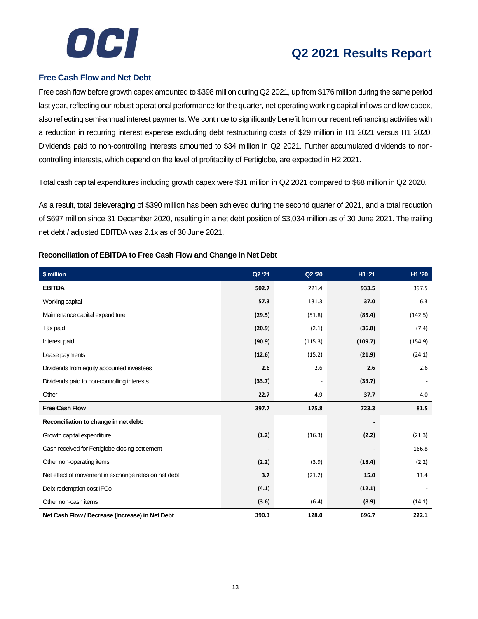

#### **Free Cash Flow and Net Debt**

Free cash flow before growth capex amounted to \$398 million during Q2 2021, up from \$176 million during the same period last year, reflecting our robust operational performance for the quarter, net operating working capital inflows and low capex, also reflecting semi-annual interest payments. We continue to significantly benefit from our recent refinancing activities with a reduction in recurring interest expense excluding debt restructuring costs of \$29 million in H1 2021 versus H1 2020. Dividends paid to non-controlling interests amounted to \$34 million in Q2 2021. Further accumulated dividends to noncontrolling interests, which depend on the level of profitability of Fertiglobe, are expected in H2 2021.

Total cash capital expenditures including growth capex were \$31 million in Q2 2021 compared to \$68 million in Q2 2020.

As a result, total deleveraging of \$390 million has been achieved during the second quarter of 2021, and a total reduction of \$697 million since 31 December 2020, resulting in a net debt position of \$3,034 million as of 30 June 2021. The trailing net debt / adjusted EBITDA was 2.1x as of 30 June 2021.

| $$$ million                                          | Q2 '21 | Q2 '20  | H1 '21  | H1 '20  |
|------------------------------------------------------|--------|---------|---------|---------|
| <b>EBITDA</b>                                        | 502.7  | 221.4   | 933.5   | 397.5   |
| Working capital                                      | 57.3   | 131.3   | 37.0    | 6.3     |
| Maintenance capital expenditure                      | (29.5) | (51.8)  | (85.4)  | (142.5) |
| Tax paid                                             | (20.9) | (2.1)   | (36.8)  | (7.4)   |
| Interest paid                                        | (90.9) | (115.3) | (109.7) | (154.9) |
| Lease payments                                       | (12.6) | (15.2)  | (21.9)  | (24.1)  |
| Dividends from equity accounted investees            | 2.6    | 2.6     | 2.6     | 2.6     |
| Dividends paid to non-controlling interests          | (33.7) |         | (33.7)  |         |
| Other                                                | 22.7   | 4.9     | 37.7    | 4.0     |
| <b>Free Cash Flow</b>                                | 397.7  | 175.8   | 723.3   | 81.5    |
| Reconciliation to change in net debt:                |        |         |         |         |
| Growth capital expenditure                           | (1.2)  | (16.3)  | (2.2)   | (21.3)  |
| Cash received for Fertiglobe closing settlement      |        |         |         | 166.8   |
| Other non-operating items                            | (2.2)  | (3.9)   | (18.4)  | (2.2)   |
| Net effect of movement in exchange rates on net debt | 3.7    | (21.2)  | 15.0    | 11.4    |
| Debt redemption cost IFCo                            | (4.1)  |         | (12.1)  |         |
| Other non-cash items                                 | (3.6)  | (6.4)   | (8.9)   | (14.1)  |
| Net Cash Flow / Decrease (Increase) in Net Debt      | 390.3  | 128.0   | 696.7   | 222.1   |

#### **Reconciliation of EBITDA to Free Cash Flow and Change in Net Debt**